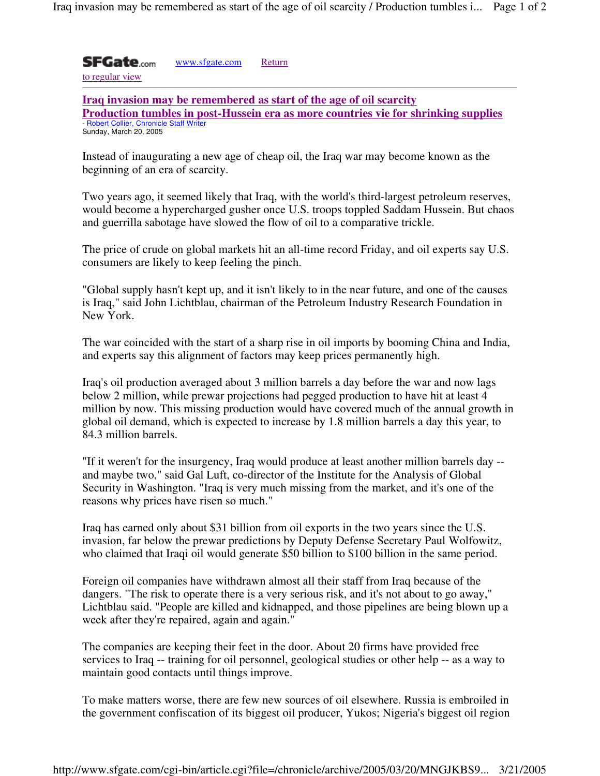**SFGate.com** www.sfgate.com Return

to regular view

**Iraq invasion may be remembered as start of the age of oil scarcity Production tumbles in post-Hussein era as more countries vie for shrinking supplies** - Robert Collier, Chronicle Staff Writer Sunday, March 20, 2005

Instead of inaugurating a new age of cheap oil, the Iraq war may become known as the beginning of an era of scarcity.

Two years ago, it seemed likely that Iraq, with the world's third-largest petroleum reserves, would become a hypercharged gusher once U.S. troops toppled Saddam Hussein. But chaos and guerrilla sabotage have slowed the flow of oil to a comparative trickle.

The price of crude on global markets hit an all-time record Friday, and oil experts say U.S. consumers are likely to keep feeling the pinch.

"Global supply hasn't kept up, and it isn't likely to in the near future, and one of the causes is Iraq," said John Lichtblau, chairman of the Petroleum Industry Research Foundation in New York.

The war coincided with the start of a sharp rise in oil imports by booming China and India, and experts say this alignment of factors may keep prices permanently high.

Iraq's oil production averaged about 3 million barrels a day before the war and now lags below 2 million, while prewar projections had pegged production to have hit at least 4 million by now. This missing production would have covered much of the annual growth in global oil demand, which is expected to increase by 1.8 million barrels a day this year, to 84.3 million barrels.

"If it weren't for the insurgency, Iraq would produce at least another million barrels day - and maybe two," said Gal Luft, co-director of the Institute for the Analysis of Global Security in Washington. "Iraq is very much missing from the market, and it's one of the reasons why prices have risen so much."

Iraq has earned only about \$31 billion from oil exports in the two years since the U.S. invasion, far below the prewar predictions by Deputy Defense Secretary Paul Wolfowitz, who claimed that Iraqi oil would generate \$50 billion to \$100 billion in the same period.

Foreign oil companies have withdrawn almost all their staff from Iraq because of the dangers. "The risk to operate there is a very serious risk, and it's not about to go away," Lichtblau said. "People are killed and kidnapped, and those pipelines are being blown up a week after they're repaired, again and again."

The companies are keeping their feet in the door. About 20 firms have provided free services to Iraq -- training for oil personnel, geological studies or other help -- as a way to maintain good contacts until things improve.

To make matters worse, there are few new sources of oil elsewhere. Russia is embroiled in the government confiscation of its biggest oil producer, Yukos; Nigeria's biggest oil region